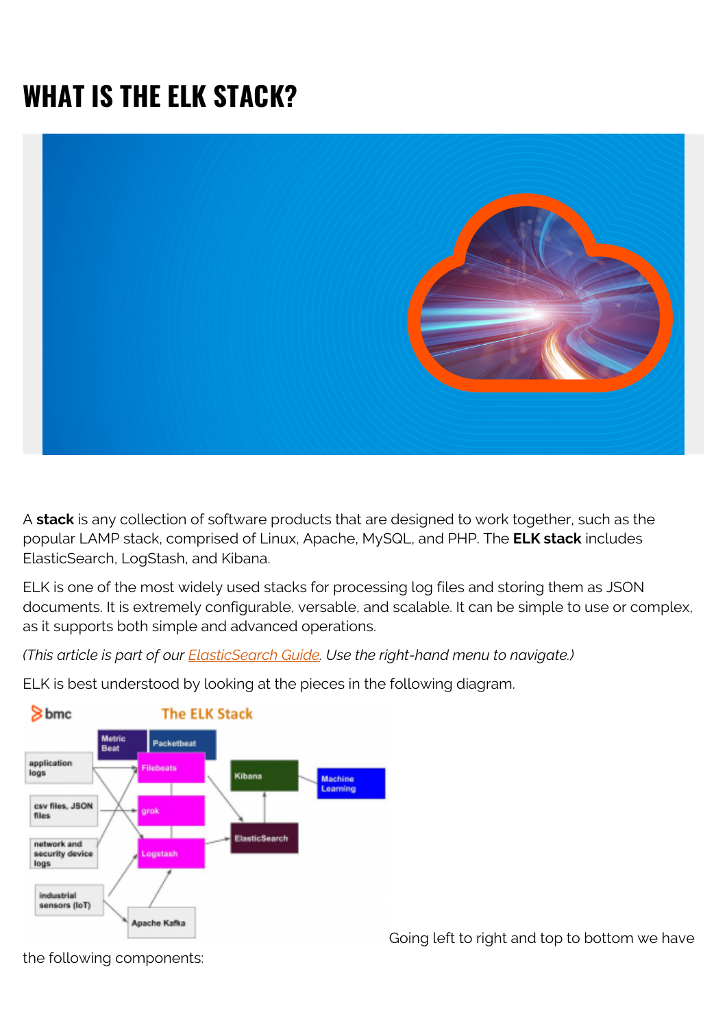# **WHAT IS THE ELK STACK?**



A **stack** is any collection of software products that are designed to work together, such as the popular LAMP stack, comprised of Linux, Apache, MySQL, and PHP. The **ELK stack** includes ElasticSearch, LogStash, and Kibana.

ELK is one of the most widely used stacks for processing log files and storing them as JSON documents. It is extremely configurable, versable, and scalable. It can be simple to use or complex, as it supports both simple and advanced operations.

*(This article is part of our [ElasticSearch Guide.](https://blogs.bmc.com/blogs/elasticsearch-introduction/) Use the right-hand menu to navigate.)*



ELK is best understood by looking at the pieces in the following diagram.

Going left to right and top to bottom we have

the following components: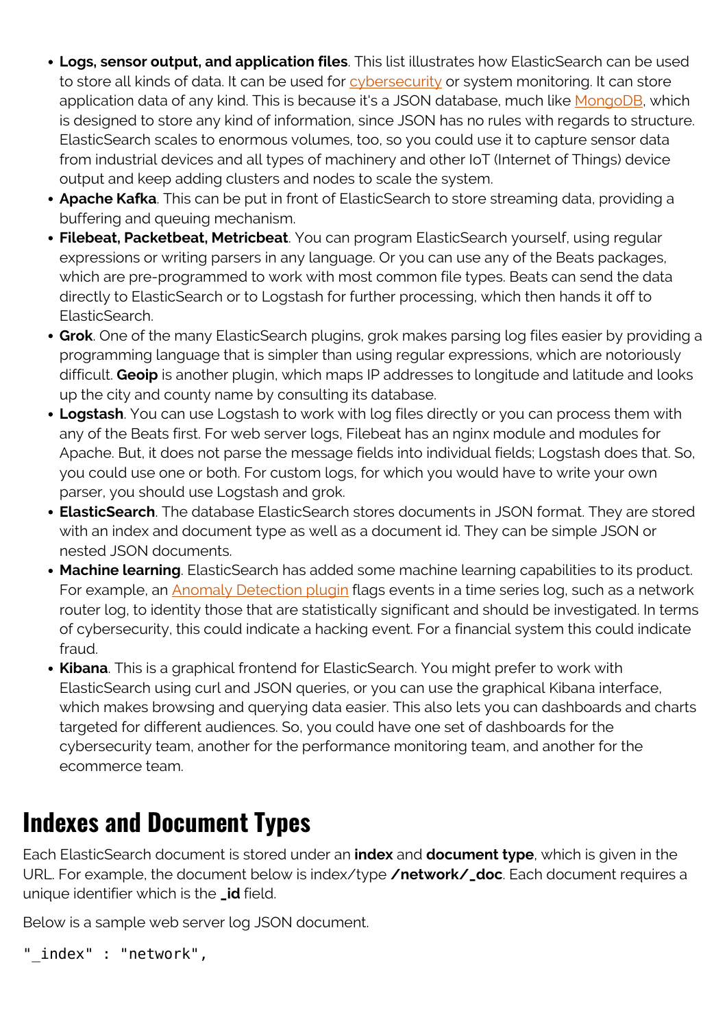- **Logs, sensor output, and application files**. This list illustrates how ElasticSearch can be used to store all kinds of data. It can be used for **cybersecurity** or system monitoring. It can store application data of any kind. This is because it's a JSON database, much like [MongoDB,](https://blogs.bmc.com/blogs/mongodb-overview-getting-started-with-mongodb/) which is designed to store any kind of information, since JSON has no rules with regards to structure. ElasticSearch scales to enormous volumes, too, so you could use it to capture sensor data from industrial devices and all types of machinery and other IoT (Internet of Things) device output and keep adding clusters and nodes to scale the system.
- **Apache Kafka**. This can be put in front of ElasticSearch to store streaming data, providing a buffering and queuing mechanism.
- **Filebeat, Packetbeat, Metricbeat**. You can program ElasticSearch yourself, using regular expressions or writing parsers in any language. Or you can use any of the Beats packages, which are pre-programmed to work with most common file types. Beats can send the data directly to ElasticSearch or to Logstash for further processing, which then hands it off to ElasticSearch.
- **Grok**. One of the many ElasticSearch plugins, grok makes parsing log files easier by providing a programming language that is simpler than using regular expressions, which are notoriously difficult. **Geoip** is another plugin, which maps IP addresses to longitude and latitude and looks up the city and county name by consulting its database.
- **Logstash**. You can use Logstash to work with log files directly or you can process them with any of the Beats first. For web server logs, Filebeat has an nginx module and modules for Apache. But, it does not parse the message fields into individual fields; Logstash does that. So, you could use one or both. For custom logs, for which you would have to write your own parser, you should use Logstash and grok.
- **ElasticSearch**. The database ElasticSearch stores documents in JSON format. They are stored with an index and document type as well as a document id. They can be simple JSON or nested JSON documents.
- **Machine learning**. ElasticSearch has added some machine learning capabilities to its product. For example, an [Anomaly Detection plugin](https://blogs.bmc.com/blogs/elasticsearch-machine-learning/) flags events in a time series log, such as a network router log, to identity those that are statistically significant and should be investigated. In terms of cybersecurity, this could indicate a hacking event. For a financial system this could indicate fraud.
- **Kibana**. This is a graphical frontend for ElasticSearch. You might prefer to work with ElasticSearch using curl and JSON queries, or you can use the graphical Kibana interface, which makes browsing and querying data easier. This also lets you can dashboards and charts targeted for different audiences. So, you could have one set of dashboards for the cybersecurity team, another for the performance monitoring team, and another for the ecommerce team.

### **Indexes and Document Types**

Each ElasticSearch document is stored under an **index** and **document type**, which is given in the URL. For example, the document below is index/type **/network/\_doc**. Each document requires a unique identifier which is the **\_id** field.

Below is a sample web server log JSON document.

```
"_index" : "network",
```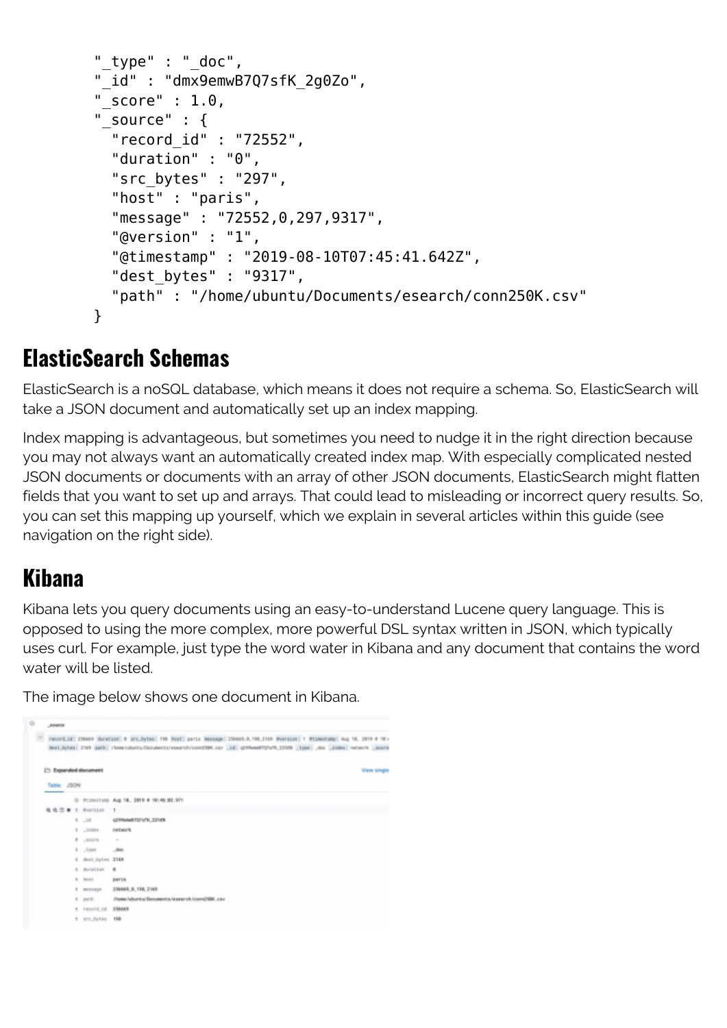```
 "_type" : "_doc",
         "_id" : "dmx9emwB7Q7sfK_2g0Zo",
        "score" : 1.0," source" : \{ "record_id" : "72552",
           "duration" : "0",
           "src_bytes" : "297",
           "host" : "paris",
           "message" : "72552,0,297,9317",
           "@version" : "1",
           "@timestamp" : "2019-08-10T07:45:41.642Z",
           "dest_bytes" : "9317",
           "path" : "/home/ubuntu/Documents/esearch/conn250K.csv"
 }
```
#### **ElasticSearch Schemas**

ElasticSearch is a noSQL database, which means it does not require a schema. So, ElasticSearch will take a JSON document and automatically set up an index mapping.

Index mapping is advantageous, but sometimes you need to nudge it in the right direction because you may not always want an automatically created index map. With especially complicated nested JSON documents or documents with an array of other JSON documents, ElasticSearch might flatten fields that you want to set up and arrays. That could lead to misleading or incorrect query results. So, you can set this mapping up yourself, which we explain in several articles within this guide (see navigation on the right side).

#### **Kibana**

Kibana lets you query documents using an easy-to-understand Lucene query language. This is opposed to using the more complex, more powerful DSL syntax written in JSON, which typically uses curl. For example, just type the word water in Kibana and any document that contains the word water will be listed.

The image below shows one document in Kibana.